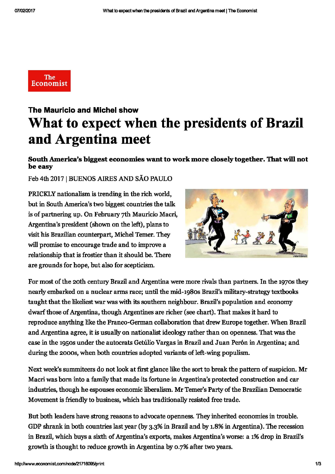

## The Mauricio and Michel show What to expect when the presidents of Brazil and Argentina meet

## South America's biggest economies want to work more closely together. That will not be easy

Feb 4th 2017 | BUENOS AIRES AND SÃO PAULO

PRICKLY nationalism is trending in the rich world, but in South America's two biggest countries the talk is of partnering up. On February 7th Mauricio Macri, Argentina's president (shown on the left), plans to visit his Brazilian counterpart, Michel Temer. They will promise to encourage trade and to improve a relationship that is frostier than it should be. There are grounds for hope, but also for scepticism.



For most of the 20th century Brazil and Argentina were more rivais than partners. In the 1970s they nearly embarked on a nuclear arms race; until the mid-1g8os Brazil's military-strategytextbooks taught that the likeliest war was with its southem neighbour. Brazil's population and economy dwarf those of Argentina, though Argentines are richer (see chart). That makes it hard to reproduce anything like the Franco-German collaboration that drew Europe together. When Brazil and Argentina agree, it is usually on nationalist ideology rather than on openness. That was the case in the 1950s under the autocrats Getúlio Vargas in Brazil and Juan Per6n in Argentina; and during the 2ooos, when both countries adopted variants of left-wing populism.

Next week's summiteers do not look at first glance like the sort to break the pattern of suspicion. Mr Macri was bom into a family that made its fortune in Argentina's protected construction and car industries, though he espouses economic liberalism. Mr Temer's Party of the Brazilian Democratic Movement is friendly to business, which has traditionally resisted free trade.

But both leaders have strong reasons to advocate openness. They inherited economies in trouble. GDP shrank in both countries last year (by 3.3% in Brazil and by 1.8% in Argentina). The recession in Brazil, which buys a sixth of Argentina's exports, makes Argentina's worse: a 196 drop in Brazil's growth is thought to reduce growth in Argentina by 0.796 after two years.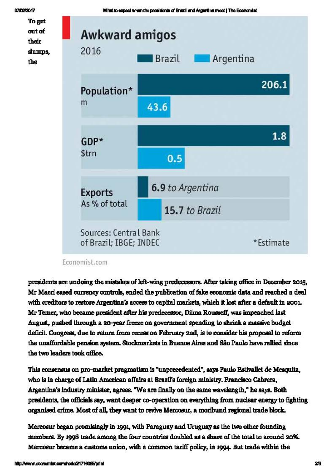

What to expect when the presidents of Brazil and Argentina meet | The Economist



## Economist.com

presidents are undoing the mistakes of left-wing predecessors. After taking office in December 2015, Mr Macri eased currency controls, ended the publication of fake economic data and reached a deal with creditors to restore Argentina's access to capital markets, which it lost after a default in 2001. Mr Temer, who became president after his predecessor, Dilma Rousseff, was impeached last August, pushed through a 20-year freeze on government spending to shrink a massive budget deficit. Congress, due to return from recess on February 2nd, is to consider his proposal to reform the unaffordable pension system. Stockmarkets in Buenos Aires and São Paulo have rallied since the two leaders took office.

This consensus on pro-market pragmatism is "unprecedented", says Paulo Estivallet de Mesquita, who is in charge of Latin American affairs at Brazil's foreign ministry. Francisco Cabrera, Argentina's industry minister, agrees. "We are finally on the same wavelength," he says. Both presidents, the officials say, want deeper co-operation on everything from nuclear energy to fighting organised crime. Most of all, they want to revive Mercosur, a moribund regional trade block.

Mercosur began promisingly in 1991, with Paraguay and Uruguay as the two other founding members. By 1998 trade among the four countries doubled as a share of the total to around 20%. Mercoaur became a customs union, with a common tariff policy, in 1994. But trade within the